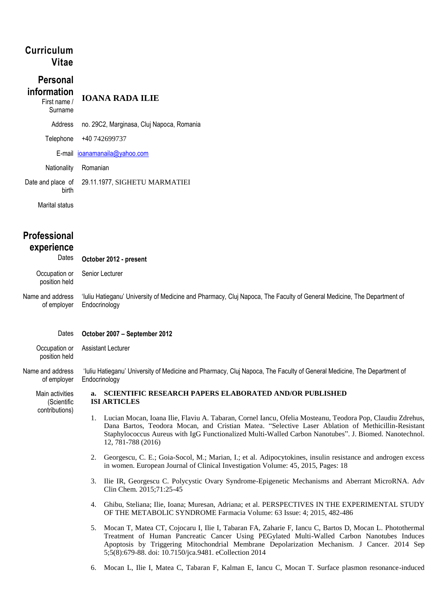# **Curriculum Vitae**

#### **Personal information** First name / **IOANA RADA ILIE**

Surname Address no. 29C2, Marginasa, Cluj Napoca, Romania Telephone +40 742699737 E-mail [ioanamanaila@yahoo.com](mailto:ioanamanaila@yahoo.com) Nationality Romanian

Date and place of birth 29.11.1977, SIGHETU MARMATIEI

Marital status

# **Professional experience**

position held

Dates **October 2012 - present**

Occupation or position held Senior Lecturer

Name and address of employer 'Iuliu Hatieganu' University of Medicine and Pharmacy, Cluj Napoca, The Faculty of General Medicine, The Department of Endocrinology

## Dates **October 2007 – September 2012**

Occupation or Assistant Lecturer

Name and address of employer 'Iuliu Hatieganu' University of Medicine and Pharmacy, Cluj Napoca, The Faculty of General Medicine, The Department of **Endocrinology** 

Main activities (Scientific contributions) **a. SCIENTIFIC RESEARCH PAPERS ELABORATED AND/OR PUBLISHED ISI ARTICLES**

- 1. Lucian Mocan, Ioana Ilie, Flaviu A. Tabaran, Cornel Iancu, Ofelia Mosteanu, Teodora Pop, Claudiu Zdrehus, Dana Bartos, Teodora Mocan, and Cristian Matea. "Selective Laser Ablation of Methicillin-Resistant Staphylococcus Aureus with IgG Functionalized Multi-Walled Carbon Nanotubes". J. Biomed. Nanotechnol. 12, 781-788 (2016)
- 2. Georgescu, C. E.; Goia-Socol, M.; Marian, I.; et al. Adipocytokines, insulin resistance and androgen excess in women. European Journal of Clinical Investigation Volume: 45, 2015, Pages: 18
- 3. Ilie IR, Georgescu C. Polycystic Ovary Syndrome-Epigenetic Mechanisms and Aberrant MicroRNA. Adv Clin Chem. 2015;71:25-45
- 4. Ghibu, Steliana; Ilie, Ioana; Muresan, Adriana; et al. PERSPECTIVES IN THE EXPERIMENTAL STUDY OF THE METABOLIC SYNDROME Farmacia Volume: 63 Issue: 4; 2015, 482-486
- 5. Mocan T, Matea CT, Cojocaru I, Ilie I, Tabaran FA, Zaharie F, Iancu C, Bartos D, Mocan L. Photothermal Treatment of Human Pancreatic Cancer Using PEGylated Multi-Walled Carbon Nanotubes Induces Apoptosis by Triggering Mitochondrial Membrane Depolarization Mechanism. J Cancer. 2014 Sep 5;5(8):679-88. doi: 10.7150/jca.9481. eCollection 2014
- 6. Mocan L, Ilie I, Matea C, Tabaran F, Kalman E, Iancu C, Mocan T. Surface plasmon resonance-induced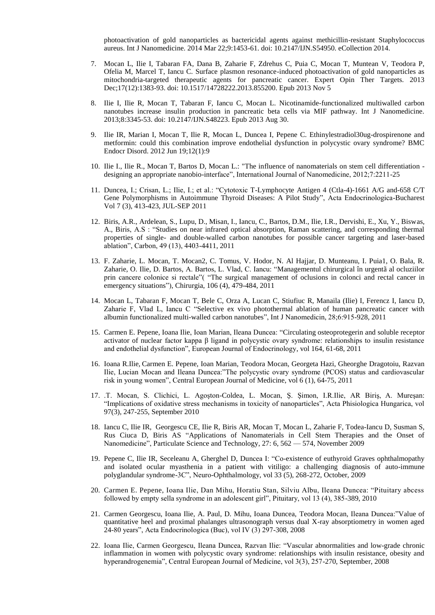photoactivation of gold nanoparticles as bactericidal agents against methicillin-resistant Staphylococcus aureus. Int J Nanomedicine. 2014 Mar 22;9:1453-61. doi: 10.2147/IJN.S54950. eCollection 2014.

- 7. Mocan L, Ilie I, Tabaran FA, Dana B, Zaharie F, Zdrehus C, Puia C, Mocan T, Muntean V, Teodora P, Ofelia M, Marcel T, Iancu C. Surface plasmon resonance-induced photoactivation of gold nanoparticles as mitochondria-targeted therapeutic agents for pancreatic cancer. Expert Opin Ther Targets. 2013 Dec;17(12):1383-93. doi: 10.1517/14728222.2013.855200. Epub 2013 Nov 5
- 8. Ilie I, Ilie R, Mocan T, Tabaran F, Iancu C, Mocan L. Nicotinamide-functionalized multiwalled carbon nanotubes increase insulin production in pancreatic beta cells via MIF pathway. Int J Nanomedicine. 2013;8:3345-53. doi: 10.2147/IJN.S48223. Epub 2013 Aug 30.
- 9. Ilie IR, Marian I, Mocan T, Ilie R, Mocan L, Duncea I, Pepene C. Ethinylestradiol30ug-drospirenone and metformin: could this combination improve endothelial dysfunction in polycystic ovary syndrome? BMC Endocr Disord. 2012 Jun 19;12(1):9
- 10. Ilie I., Ilie R., Mocan T, Bartos D, Mocan L.: "The influence of nanomaterials on stem cell differentiation designing an appropriate nanobio-interface", International Journal of Nanomedicine, 2012;7:2211-25
- 11. Duncea, I.; Crisan, L.; Ilie, I.; et al.: "Cytotoxic T-Lymphocyte Antigen 4 (Ctla-4)-1661 A/G and-658 C/T Gene Polymorphisms in Autoimmune Thyroid Diseases: A Pilot Study", Acta Endocrinologica-Bucharest Vol 7 (3), 413-423, JUL-SEP 2011
- 12. Biris, A.R., Ardelean, S., Lupu, D., Misan, I., Iancu, C., Bartos, D.M., Ilie, I.R., Dervishi, E., Xu, Y., Biswas, A., Biris, A.S : "Studies on near infrared optical absorption, Raman scattering, and corresponding thermal properties of single- and double-walled carbon nanotubes for possible cancer targeting and laser-based ablation", Carbon, 49 (13), 4403-4411, 2011
- 13. F. Zaharie, L. Mocan, T. Mocan2, C. Tomus, V. Hodor, N. Al Hajjar, D. Munteanu, I. Puia1, O. Bala, R. Zaharie, O. Ilie, D. Bartos, A. Bartos, L. Vlad, C. Iancu: "Managementul chirurgical în urgentã al ocluziilor prin cancere colonice si rectale"( "The surgical management of oclusions in colonci and rectal cancer in emergency situations"), Chirurgia, 106 (4), 479-484, 2011
- 14. Mocan L, Tabaran F, Mocan T, Bele C, Orza A, Lucan C, Stiufiuc R, Manaila (Ilie) I, Ferencz I, Iancu D, Zaharie F, Vlad L, Iancu C "Selective ex vivo photothermal ablation of human pancreatic cancer with albumin functionalized multi-walled carbon nanotubes", Int J Nanomedicin, 28;6:915-928, 2011
- 15. Carmen E. Pepene, Ioana Ilie, Ioan Marian, Ileana Duncea: "Circulating osteoprotegerin and soluble receptor activator of nuclear factor kappa β ligand in polycystic ovary syndrome: relationships to insulin resistance and endothelial dysfunction", European Journal of Endocrinology, vol 164, 61-68, 2011
- 16. Ioana R.Ilie, Carmen E. Pepene, Ioan Marian, Teodora Mocan, Georgeta Hazi, Gheorghe Dragotoiu, Razvan Ilie, Lucian Mocan and Ileana Duncea:"The polycystic ovary syndrome (PCOS) status and cardiovascular risk in young women", Central European Journal of Medicine, vol 6 (1), 64-75, 2011
- 17. .T. Mocan, S. Clichici, L. Agoşton-Coldea, L. Mocan, Ş. Şimon, I.R.Ilie, AR Biriş, A. Mureşan: "Implications of oxidative stress mechanisms in toxicity of nanoparticles", Acta Phisiologica Hungarica, vol 97(3), 247-255, September 2010
- 18. Iancu C, Ilie IR, Georgescu CE, Ilie R, Biris AR, Mocan T, Mocan L, Zaharie F, Todea-Iancu D, Susman S, Rus Ciuca D, Biris AS "Applications of Nanomaterials in Cell Stem Therapies and the Onset of Nanomedicine", Particulate Science and Technology, 27: 6, 562 — 574, November 2009
- 19. Pepene C, Ilie IR, Seceleanu A, Gherghel D, Duncea I: "Co-existence of euthyroid Graves ophthalmopathy and isolated ocular myasthenia in a patient with vitiligo: a challenging diagnosis of auto-immune polyglandular syndrome-3C", Neuro-Ophthalmology, vol 33 (5), 268-272, October, 2009
- 20. Carmen E. Pepene, Ioana Ilie, Dan Mihu, Horatiu Stan, Silviu Albu, Ileana Duncea: "Pituitary abcess followed by empty sella syndrome in an adolescent girl", Pituitary, vol 13 (4), 385-389, 2010
- 21. Carmen Georgescu, Ioana Ilie, A. Paul, D. Mihu, Ioana Duncea, Teodora Mocan, Ileana Duncea:"Value of quantitative heel and proximal phalanges ultrasonograph versus dual X-ray absorptiometry in women aged 24-80 years", Acta Endocrinologica (Buc), vol IV (3) 297-308, 2008
- 22. Ioana Ilie, Carmen Georgescu, Ileana Duncea, Razvan Ilie: "Vascular abnormalities and low-grade chronic inflammation in women with polycystic ovary syndrome: relationships with insulin resistance, obesity and hyperandrogenemia", Central European Journal of Medicine, vol 3(3), 257-270, September, 2008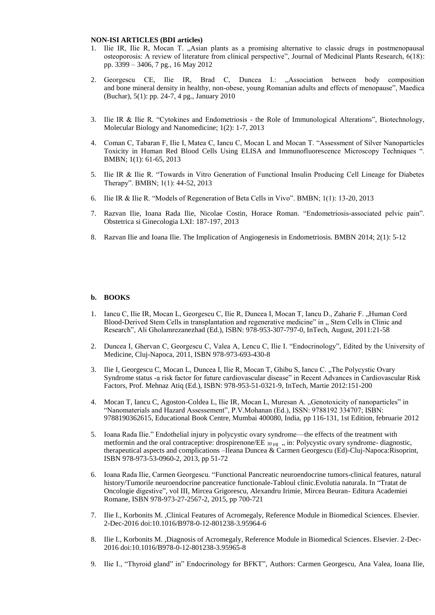#### **NON-ISI ARTICLES (BDI articles)**

- 1. Ilie IR, Ilie R, Mocan T. "Asian plants as a promising alternative to classic drugs in postmenopausal osteoporosis: A review of literature from clinical perspective", Journal of Medicinal Plants Research, 6(18): pp. 3399 – 3406, 7 pg., 16 May 2012
- 2. Georgescu CE, Ilie IR, Brad C, Duncea I.: "Association between body composition and bone mineral density in healthy, non-obese, young Romanian adults and effects of menopause", Maedica (Buchar), 5(1): pp. 24-7, 4 pg., January 2010
- 3. Ilie IR & Ilie R. "Cytokines and Endometriosis the Role of Immunological Alterations", Biotechnology, Molecular Biology and Nanomedicine; 1(2): 1-7, 2013
- 4. Coman C, Tabaran F, Ilie I, Matea C, Iancu C, Mocan L and Mocan T. "Assessment of Silver Nanoparticles Toxicity in Human Red Blood Cells Using ELISA and Immunofluorescence Microscopy Techniques ". BMBN; 1(1): 61-65, 2013
- 5. Ilie IR & Ilie R. "Towards in Vitro Generation of Functional Insulin Producing Cell Lineage for Diabetes Therapy". BMBN; 1(1): 44-52, 2013
- 6. Ilie IR & Ilie R. "Models of Regeneration of Beta Cells in Vivo". BMBN; 1(1): 13-20, 2013
- 7. Razvan Ilie, Ioana Rada Ilie, Nicolae Costin, Horace Roman. "Endometriosis-associated pelvic pain". Obstetrica si Ginecologia LXI: 187-197, 2013
- 8. Razvan Ilie and Ioana Ilie. The Implication of Angiogenesis in Endometriosis. BMBN 2014; 2(1): 5-12

#### **b. BOOKS**

- 1. Iancu C, Ilie IR, Mocan L, Georgescu C, Ilie R, Duncea I, Mocan T, Iancu D., Zaharie F., Human Cord Blood-Derived Stem Cells in transplantation and regenerative medicine" in ... Stem Cells in Clinic and Research", Ali Gholamrezanezhad (Ed.), ISBN: 978-953-307-797-0, InTech, August, 2011:21-58
- 2. Duncea I, Ghervan C, Georgescu C, Valea A, Lencu C, Ilie I. "Endocrinology", Edited by the University of Medicine, Cluj-Napoca, 2011, ISBN 978-973-693-430-8
- 3. Ilie I, Georgescu C, Mocan L, Duncea I, Ilie R, Mocan T, Ghibu S, Iancu C., The Polycystic Ovary Syndrome status -a risk factor for future cardiovascular disease" in Recent Advances in Cardiovascular Risk Factors, Prof. Mehnaz Atiq (Ed.), ISBN: 978-953-51-0321-9, InTech, Martie 2012:151-200
- 4. Mocan T, Iancu C, Agoston-Coldea L, Ilie IR, Mocan L, Muresan A. "Genotoxicity of nanoparticles" in "Nanomaterials and Hazard Assessement", P.V.Mohanan (Ed.), ISSN: 9788192 334707; ISBN: 9788190362615, Educational Book Centre, Mumbai 400080, India, pp 116-131, 1st Edition, februarie 2012
- 5. Ioana Rada Ilie." Endothelial injury in polycystic ovary syndrome—the effects of the treatment with metformin and the oral contraceptive: drospirenone/EE  $_{30 \mu g}$  , in: Polycystic ovary syndrome- diagnostic, therapeutical aspects and complications –Ileana Duncea & Carmen Georgescu (Ed)-Cluj-Napoca:Risoprint, ISBN 978-973-53-0960-2, 2013, pp 51-72
- 6. Ioana Rada Ilie, Carmen Georgescu. "Functional Pancreatic neuroendocrine tumors-clinical features, natural history/Tumorile neuroendocrine pancreatice functionale-Tabloul clinic.Evolutia naturala. In "Tratat de Oncologie digestive", vol III, Mircea Grigorescu, Alexandru Irimie, Mircea Beuran- Editura Academiei Romane, ISBN 978-973-27-2567-2, 2015, pp 700-721
- 7. Ilie I., Korbonits M. ,Clinical Features of Acromegaly, Reference Module in Biomedical Sciences. Elsevier. 2-Dec-2016 doi:10.1016/B978-0-12-801238-3.95964-6
- 8. Ilie I., Korbonits M. ,Diagnosis of Acromegaly, Reference Module in Biomedical Sciences. Elsevier. 2-Dec-2016 doi:10.1016/B978-0-12-801238-3.95965-8
- 9. Ilie I., "Thyroid gland" in" Endocrinology for BFKT", Authors: Carmen Georgescu, Ana Valea, Ioana Ilie,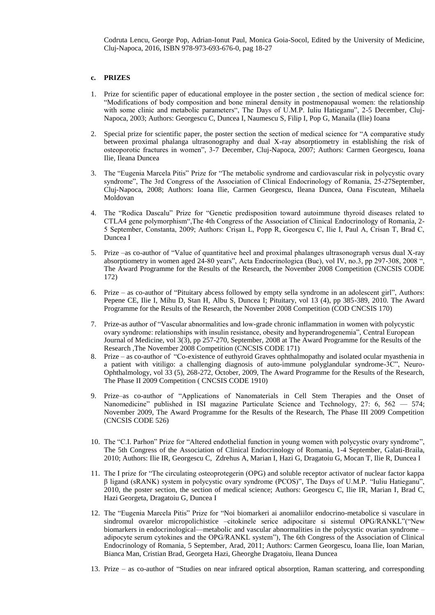Codruta Lencu, George Pop, Adrian-Ionut Paul, Monica Goia-Socol, Edited by the University of Medicine, Cluj-Napoca, 2016, ISBN 978-973-693-676-0, pag 18-27

## **c. PRIZES**

- 1. Prize for scientific paper of educational employee in the poster section , the section of medical science for: "Modifications of body composition and bone mineral density in postmenopausal women: the relationship with some clinic and metabolic parameters", The Days of U.M.P. Iuliu Hatieganu", 2-5 December, Cluj-Napoca, 2003; Authors: Georgescu C, Duncea I, Naumescu S, Filip I, Pop G, Manaila (Ilie) Ioana
- 2. Special prize for scientific paper, the poster section the section of medical science for "A comparative study between proximal phalanga ultrasonography and dual X-ray absorptiometry in establishing the risk of osteoporotic fractures in women", 3-7 December, Cluj-Napoca, 2007; Authors: Carmen Georgescu, Ioana Ilie, Ileana Duncea
- 3. The "Eugenia Marcela Pitis" Prize for "The metabolic syndrome and cardiovascular risk in polycystic ovary syndrome", The 3rd Congress of the Association of Clinical Endocrinology of Romania, 25-27September, Cluj-Napoca, 2008; Authors: Ioana Ilie, Carmen Georgescu, Ileana Duncea, Oana Fiscutean, Mihaela Moldovan
- 4. The "Rodica Dascalu" Prize for "Genetic predisposition toward autoimmune thyroid diseases related to CTLA4 gene polymorphism",The 4th Congress of the Association of Clinical Endocrinology of Romania, 2- 5 September, Constanta, 2009; Authors: Crișan L, Popp R, Georgescu C, Ilie I, Paul A, Crisan T, Brad C, Duncea I
- 5. Prize –as co-author of "Value of quantitative heel and proximal phalanges ultrasonograph versus dual X-ray absorptiometry in women aged 24-80 years", Acta Endocrinologica (Buc), vol IV, no.3, pp 297-308, 2008 ", The Award Programme for the Results of the Research, the November 2008 Competition (CNCSIS CODE 172)
- 6. Prize as co-author of "Pituitary abcess followed by empty sella syndrome in an adolescent girl", Authors: Pepene CE, Ilie I, Mihu D, Stan H, Albu S, Duncea I; Pituitary, vol 13 (4), pp 385-389, 2010. The Award Programme for the Results of the Research, the November 2008 Competition (COD CNCSIS 170)
- 7. Prize-as author of "Vascular abnormalities and low-grade chronic inflammation in women with polycystic ovary syndrome: relationships with insulin resistance, obesity and hyperandrogenemia", Central European Journal of Medicine, vol 3(3), pp 257-270, September, 2008 at The Award Programme for the Results of the Research ,The November 2008 Competition (CNCSIS CODE 171)
- 8. Prize as co-author of "Co-existence of euthyroid Graves ophthalmopathy and isolated ocular myasthenia in a patient with vitiligo: a challenging diagnosis of auto-immune polyglandular syndrome-3C", Neuro-Ophthalmology, vol 33 (5), 268-272, October, 2009, The Award Programme for the Results of the Research, The Phase II 2009 Competition ( CNCSIS CODE 1910)
- 9. Prize–as co-author of "Applications of Nanomaterials in Cell Stem Therapies and the Onset of Nanomedicine" published in ISI magazine Particulate Science and Technology, 27: 6, 562 — 574; November 2009, The Award Programme for the Results of the Research, The Phase III 2009 Competition (CNCSIS CODE 526)
- 10. The "C.I. Parhon" Prize for "Altered endothelial function in young women with polycystic ovary syndrome", The 5th Congress of the Association of Clinical Endocrinology of Romania, 1-4 September, Galati-Braila, 2010; Authors: Ilie IR, Georgescu C, Zdrehus A, Marian I, Hazi G, Dragatoiu G, Mocan T, Ilie R, Duncea I
- 11. The I prize for "The circulating osteoprotegerin (OPG) and soluble receptor activator of nuclear factor kappa β ligand (sRANK) system in polycystic ovary syndrome (PCOS)", The Days of U.M.P. "Iuliu Hatieganu", 2010, the poster section, the section of medical science; Authors: Georgescu C, Ilie IR, Marian I, Brad C, Hazi Georgeta, Dragatoiu G, Duncea I
- 12. The "Eugenia Marcela Pitis" Prize for "Noi biomarkeri ai anomaliilor endocrino-metabolice si vasculare in sindromul ovarelor micropolichistice –citokinele serice adipocitare si sistemul OPG/RANKL"("New biomarkers in endocrinological—metabolic and vascular abnormalities in the polycystic ovarian syndrome – adipocyte serum cytokines and the OPG/RANKL system"), The 6th Congress of the Association of Clinical Endocrinology of Romania, 5 September, Arad, 2011; Authors: Carmen Georgescu, Ioana Ilie, Ioan Marian, Bianca Man, Cristian Brad, Georgeta Hazi, Gheorghe Dragatoiu, Ileana Duncea
- 13. Prize as co-author of "Studies on near infrared optical absorption, Raman scattering, and corresponding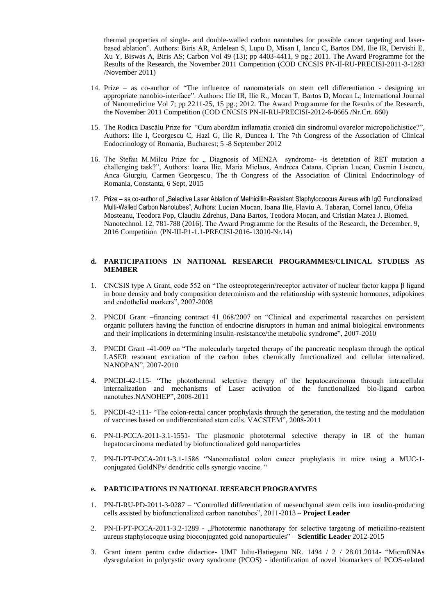thermal properties of single- and double-walled carbon nanotubes for possible cancer targeting and laserbased ablation". Authors: Biris AR, Ardelean S, Lupu D, Misan I, Iancu C, Bartos DM, Ilie IR, Dervishi E, Xu Y, Biswas A, Biris AS; Carbon Vol 49 (13); pp 4403-4411, 9 pg.; 2011. The Award Programme for the Results of the Research, the November 2011 Competition (COD CNCSIS PN-II-RU-PRECISI-2011-3-1283 /November 2011)

- 14. Prize as co-author of "The influence of nanomaterials on stem cell differentiation designing an appropriate nanobio-interface". Authors: Ilie IR, Ilie R., Mocan T, Bartos D, Mocan L; International Journal of Nanomedicine Vol 7; pp 2211-25, 15 pg.; 2012. The Award Programme for the Results of the Research, the November 2011 Competition (COD CNCSIS PN-II-RU-PRECISI-2012-6-0665 /Nr.Crt. 660)
- 15. The Rodica Dascălu Prize for "Cum abordăm inflamaţia cronică din sindromul ovarelor micropolichistice?", Authors: Ilie I, Georgescu C, Hazi G, Ilie R, Duncea I. The 7th Congress of the Association of Clinical Endocrinology of Romania, Bucharest; 5 -8 September 2012
- 16. The Stefan M.Milcu Prize for " Diagnosis of MEN2A syndrome--is detetation of RET mutation a challenging task?", Authors: Ioana Ilie, Maria Miclaus, Andreea Catana, Ciprian Lucan, Cosmin Lisencu, Anca Giurgiu, Carmen Georgescu. The th Congress of the Association of Clinical Endocrinology of Romania, Constanta, 6 Sept, 2015
- 17. Prize as co-author of "Selective Laser Ablation of Methicillin-Resistant Staphylococcus Aureus with IgG Functionalized Multi-Walled Carbon Nanotubes", Authors: Lucian Mocan, Ioana Ilie, Flaviu A. Tabaran, Cornel Iancu, Ofelia Mosteanu, Teodora Pop, Claudiu Zdrehus, Dana Bartos, Teodora Mocan, and Cristian Matea J. Biomed. Nanotechnol. 12, 781-788 (2016). The Award Programme for the Results of the Research, the December, 9, 2016 Competition (PN-III-P1-1.1-PRECISI-2016-13010-Nr.14)

## **d. PARTICIPATIONS IN NATIONAL RESEARCH PROGRAMMES/CLINICAL STUDIES AS MEMBER**

- 1. CNCSIS type A Grant, code 552 on "The osteoprotegerin/receptor activator of nuclear factor kappa β ligand in bone density and body composition determinism and the relationship with systemic hormones, adipokines and endothelial markers", 2007-2008
- 2. PNCDI Grant –financing contract 41\_068/2007 on "Clinical and experimental researches on persistent organic polluters having the function of endocrine disruptors in human and animal biological environments and their implications in determining insulin-resistance/the metabolic syndrome", 2007-2010
- 3. PNCDI Grant -41-009 on "The molecularly targeted therapy of the pancreatic neoplasm through the optical LASER resonant excitation of the carbon tubes chemically functionalized and cellular internalized. NANOPAN", 2007-2010
- 4. PNCDI-42-115- "The photothermal selective therapy of the hepatocarcinoma through intracellular internalization and mechanisms of Laser activation of the functionalized bio-ligand carbon nanotubes.NANOHEP", 2008-2011
- 5. PNCDI-42-111- "The colon-rectal cancer prophylaxis through the generation, the testing and the modulation of vaccines based on undifferentiated stem cells. VACSTEM", 2008-2011
- 6. PN-II-PCCA-2011-3.1-1551- The plasmonic phototermal selective therapy in IR of the human hepatocarcinoma mediated by biofunctionalized gold nanoparticles
- 7. PN-II-PT-PCCA-2011-3.1-1586 "Nanomediated colon cancer prophylaxis in mice using a MUC-1 conjugated GoldNPs/ dendritic cells synergic vaccine. "

## **e. PARTICIPATIONS IN NATIONAL RESEARCH PROGRAMMES**

- 1. PN-II-RU-PD-2011-3-0287 "Controlled differentiation of mesenchymal stem cells into insulin-producing cells assisted by biofunctionalized carbon nanotubes", 2011-2013 – **Project Leader**
- 2. PN-II-PT-PCCA-2011-3.2-1289 "Phototermic nanotherapy for selective targeting of meticilino-rezistent aureus staphylocoque using bioconjugated gold nanoparticules" – **Scientific Leader** 2012-2015
- 3. Grant intern pentru cadre didactice- UMF Iuliu-Hatieganu NR. 1494 / 2 / 28.01.2014- "MicroRNAs dysregulation in polycystic ovary syndrome (PCOS) - identification of novel biomarkers of PCOS-related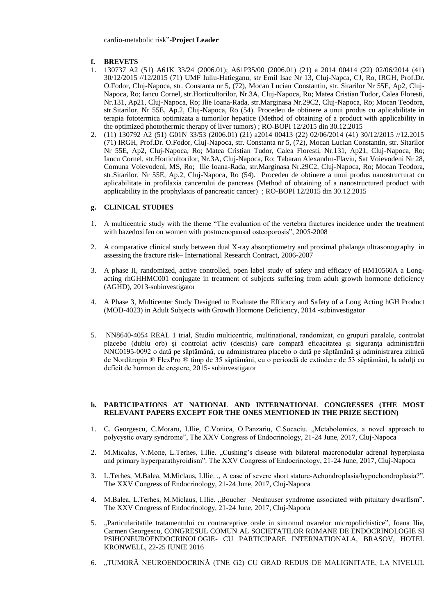## **f. BREVETS**

- 1. 130737 A2 (51) A61K 33/24 (2006.01); A61P35/00 (2006.01) (21) a 2014 00414 (22) 02/06/2014 (41) 30/12/2015 //12/2015 (71) UMF Iuliu-Hatieganu, str Emil Isac Nr 13, Cluj-Napca, CJ, Ro, IRGH, Prof.Dr. O.Fodor, Cluj-Napoca, str. Constanta nr 5, (72), Mocan Lucian Constantin, str. Sitarilor Nr 55E, Ap2, Cluj-Napoca, Ro; Iancu Cornel, str.Horticultorilor, Nr.3A, Cluj-Napoca, Ro; Matea Cristian Tudor, Calea Floresti, Nr.131, Ap21, Cluj-Napoca, Ro; Ilie Ioana-Rada, str.Marginasa Nr.29C2, Cluj-Napoca, Ro; Mocan Teodora, str.Sitarilor, Nr 55E, Ap.2, Cluj-Napoca, Ro (54). Procedeu de obtinere a unui produs cu aplicabilitate in terapia fototermica optimizata a tumorilor hepatice (Method of obtaining of a product with applicability in the optimized photothermic therapy of liver tumors) ; RO-BOPI 12/2015 din 30.12.2015
- 2. (11) 130792 A2 (51) G01N 33/53 (2006.01) (21) a2014 00413 (22) 02/06/2014 (41) 30/12/2015 //12.2015 (71) IRGH, Prof.Dr. O.Fodor, Cluj-Napoca, str. Constanta nr 5, (72), Mocan Lucian Constantin, str. Sitarilor Nr 55E, Ap2, Cluj-Napoca, Ro; Matea Cristian Tudor, Calea Floresti, Nr.131, Ap21, Cluj-Napoca, Ro; Iancu Cornel, str.Horticultorilor, Nr.3A, Cluj-Napoca, Ro; Tabaran Alexandru-Flaviu, Sat Voievodeni Nr 28, Comuna Voievodeni, MS, Ro; Ilie Ioana-Rada, str.Marginasa Nr.29C2, Cluj-Napoca, Ro; Mocan Teodora, str.Sitarilor, Nr 55E, Ap.2, Cluj-Napoca, Ro (54). Procedeu de obtinere a unui produs nanostructurat cu aplicabilitate in profilaxia cancerului de pancreas (Method of obtaining of a nanostructured product with applicability in the prophylaxis of pancreatic cancer) ; RO-BOPI 12/2015 din 30.12.2015

## **g. CLINICAL STUDIES**

- 1. A multicentric study with the theme "The evaluation of the vertebra fractures incidence under the treatment with bazedoxifen on women with postmenopausal osteoporosis", 2005-2008
- 2. A comparative clinical study between dual X-ray absorptiometry and proximal phalanga ultrasonography in assessing the fracture risk– International Research Contract, 2006-2007
- 3. A phase II, randomized, active controlled, open label study of safety and efficacy of HM10560A a Longacting rhGHHMC001 conjugate in treatment of subjects suffering from adult growth hormone deficiency (AGHD), 2013-subinvestigator
- 4. A Phase 3, Multicenter Study Designed to Evaluate the Efficacy and Safety of a Long Acting hGH Product (MOD-4023) in Adult Subjects with Growth Hormone Deficiency, 2014 -subinvestigator
- 5. NN8640-4054 REAL 1 trial, Studiu multicentric, multinaţional, randomizat, cu grupuri paralele, controlat placebo (dublu orb) şi controlat activ (deschis) care compară eficacitatea şi siguranţa administrării NNC0195-0092 o dată pe săptămână, cu administrarea placebo o dată pe săptămână şi administrarea zilnică de Norditropin ® FlexPro ® timp de 35 săptămâni, cu o perioadă de extindere de 53 săptămâni, la adulţi cu deficit de hormon de creştere, 2015- subinvestigator

## **h. PARTICIPATIONS AT NATIONAL AND INTERNATIONAL CONGRESSES (THE MOST RELEVANT PAPERS EXCEPT FOR THE ONES MENTIONED IN THE PRIZE SECTION)**

- 1. C. Georgescu, C.Moraru, I.Ilie, C.Vonica, O.Panzariu, C.Socaciu. "Metabolomics, a novel approach to polycystic ovary syndrome", The XXV Congress of Endocrinology, 21-24 June, 2017, Cluj-Napoca
- 2. M.Micalus, V.Mone, L.Terhes, I.Ilie. "Cushing's disease with bilateral macronodular adrenal hyperplasia and primary hyperparathyroidism". The XXV Congress of Endocrinology, 21-24 June, 2017, Cluj-Napoca
- 3. L.Terhes, M.Balea, M.Miclaus, I.Ilie. "A case of severe short stature-Achondroplasia/hypochondroplasia?". The XXV Congress of Endocrinology, 21-24 June, 2017, Cluj-Napoca
- 4. M.Balea, L.Terhes, M.Miclaus, I.Ilie. "Boucher –Neuhauser syndrome associated with pituitary dwarfism". The XXV Congress of Endocrinology, 21-24 June, 2017, Cluj-Napoca
- 5. "Particularitatile tratamentului cu contraceptive orale in sinromul ovarelor micropolichistice", Ioana Ilie, Carmen Georgescu, CONGRESUL COMUN AL SOCIETATILOR ROMANE DE ENDOCRINOLOGIE SI PSIHONEUROENDOCRINOLOGIE- CU PARTICIPARE INTERNATIONALA, BRASOV, HOTEL KRONWELL, 22-25 IUNIE 2016
- 6. "TUMORĂ NEUROENDOCRINĂ (TNE G2) CU GRAD REDUS DE MALIGNITATE, LA NIVELUL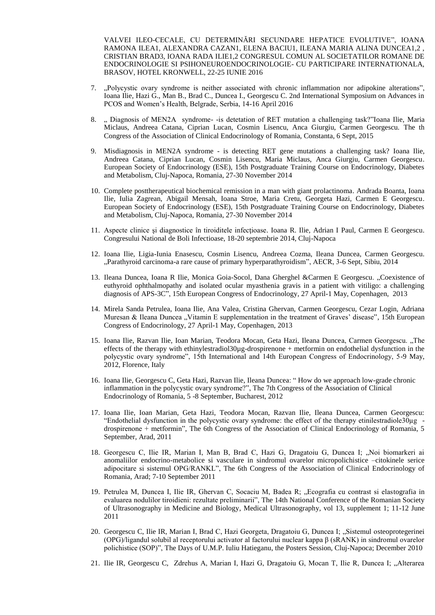VALVEI ILEO-CECALE, CU DETERMINĂRI SECUNDARE HEPATICE EVOLUTIVE", IOANA RAMONA ILEA1, ALEXANDRA CAZAN1, ELENA BACIU1, ILEANA MARIA ALINA DUNCEA1,2 , CRISTIAN BRAD3, IOANA RADA ILIE1,2 CONGRESUL COMUN AL SOCIETATILOR ROMANE DE ENDOCRINOLOGIE SI PSIHONEUROENDOCRINOLOGIE- CU PARTICIPARE INTERNATIONALA, BRASOV, HOTEL KRONWELL, 22-25 IUNIE 2016

- 7. "Polycystic ovary syndrome is neither associated with chronic inflammation nor adipokine alterations", Ioana Ilie, Hazi G., Man B., Brad C., Duncea I., Georgescu C. 2nd International Symposium on Advances in PCOS and Women's Health, Belgrade, Serbia, 14-16 April 2016
- 8. " Diagnosis of MEN2A syndrome--is detetation of RET mutation a challenging task?"Ioana Ilie, Maria Miclaus, Andreea Catana, Ciprian Lucan, Cosmin Lisencu, Anca Giurgiu, Carmen Georgescu. The th Congress of the Association of Clinical Endocrinology of Romania, Constanta, 6 Sept, 2015
- 9. Misdiagnosis in MEN2A syndrome is detecting RET gene mutations a challenging task? Ioana Ilie, Andreea Catana, Ciprian Lucan, Cosmin Lisencu, Maria Miclaus, Anca Giurgiu, Carmen Georgescu. European Society of Endocrinology (ESE), 15th Postgraduate Training Course on Endocrinology, Diabetes and Metabolism, Cluj-Napoca, Romania, 27-30 November 2014
- 10. Complete posttherapeutical biochemical remission in a man with giant prolactinoma. Andrada Boanta, Ioana Ilie, Iulia Zagrean, Abigail Mensah, Ioana Stroe, Maria Cretu, Georgeta Hazi, Carmen E Georgescu. European Society of Endocrinology (ESE), 15th Postgraduate Training Course on Endocrinology, Diabetes and Metabolism, Cluj-Napoca, Romania, 27-30 November 2014
- 11. Aspecte clinice şi diagnostice în tiroiditele infecţioase. Ioana R. Ilie, Adrian I Paul, Carmen E Georgescu. Congresului National de Boli Infectioase, 18-20 septembrie 2014, Cluj-Napoca
- 12. Ioana Ilie, Ligia-Iunia Enasescu, Cosmin Lisencu, Andreea Cozma, Ileana Duncea, Carmen Georgescu. "Parathyroid carcinoma-a rare cause of primary hyperparathyroidism", AECR, 3-6 Sept, Sibiu, 2014
- 13. Ileana Duncea, Ioana R Ilie, Monica Goia-Socol, Dana Gherghel &Carmen E Georgescu. "Coexistence of euthyroid ophthalmopathy and isolated ocular myasthenia gravis in a patient with vitiligo: a challenging diagnosis of APS-3C", 15th European Congress of Endocrinology, 27 April-1 May, Copenhagen, 2013
- 14. Mirela Sanda Petrulea, Ioana Ilie, Ana Valea, Cristina Ghervan, Carmen Georgescu, Cezar Login, Adriana Muresan & Ileana Duncea "Vitamin E supplementation in the treatment of Graves' disease", 15th European Congress of Endocrinology, 27 April-1 May, Copenhagen, 2013
- 15. Ioana Ilie, Razvan Ilie, Ioan Marian, Teodora Mocan, Geta Hazi, Ileana Duncea, Carmen Georgescu. "The effects of the therapy with ethinylestradiol30µg-drospirenone + metformin on endothelial dysfunction in the polycystic ovary syndrome", 15th International and 14th European Congress of Endocrinology, 5-9 May, 2012, Florence, Italy
- 16. Ioana Ilie, Georgescu C, Geta Hazi, Razvan Ilie, Ileana Duncea: " How do we approach low-grade chronic inflammation in the polycystic ovary syndrome?", The 7th Congress of the Association of Clinical Endocrinology of Romania, 5 -8 September, Bucharest, 2012
- 17. Ioana Ilie, Ioan Marian, Geta Hazi, Teodora Mocan, Razvan Ilie, Ileana Duncea, Carmen Georgescu: "Endothelial dysfunction in the polycystic ovary syndrome: the effect of the therapy etinilestradiole30µg drospirenone + metformin", The 6th Congress of the Association of Clinical Endocrinology of Romania, 5 September, Arad, 2011
- 18. Georgescu C, Ilie IR, Marian I, Man B, Brad C, Hazi G, Dragatoiu G, Duncea I; "Noi biomarkeri ai anomaliilor endocrino-metabolice si vasculare in sindromul ovarelor micropolichistice –citokinele serice adipocitare si sistemul OPG/RANKL", The 6th Congress of the Association of Clinical Endocrinology of Romania, Arad; 7-10 September 2011
- 19. Petrulea M, Duncea I, Ilie IR, Ghervan C, Socaciu M, Badea R; "Ecografia cu contrast si elastografia in evaluarea nodulilor tiroidieni: rezultate preliminarii", The 14th National Conference of the Romanian Society of Ultrasonography in Medicine and Biology, Medical Ultrasonography, vol 13, supplement 1; 11-12 June 2011
- 20. Georgescu C, Ilie IR, Marian I, Brad C, Hazi Georgeta, Dragatoiu G, Duncea I; "Sistemul osteoprotegerinei (OPG)/ligandul solubil al receptorului activator al factorului nuclear kappa β (sRANK) in sindromul ovarelor polichistice (SOP)", The Days of U.M.P. Iuliu Hatieganu, the Posters Session, Cluj-Napoca; December 2010
- 21. Ilie IR, Georgescu C, Zdrehus A, Marian I, Hazi G, Dragatoiu G, Mocan T, Ilie R, Duncea I; "Alterarea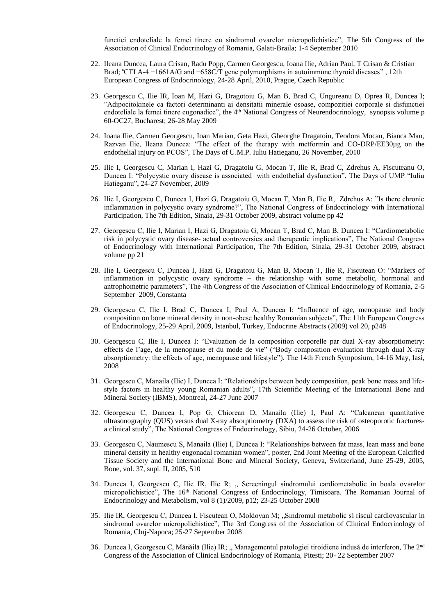functiei endoteliale la femei tinere cu sindromul ovarelor micropolichistice", The 5th Congress of the Association of Clinical Endocrinology of Romania, Galati-Braila; 1-4 September 2010

- 22. Ileana Duncea, Laura Crisan, Radu Popp, Carmen Georgescu, Ioana Ilie, Adrian Paul, T Crisan & Cristian Brad; "CTLA-4 −1661A/G and −658C/T gene polymorphisms in autoimmune thyroid diseases" , 12th European Congress of Endocrinology, 24-28 April, 2010, Prague, Czech Republic
- 23. Georgescu C, Ilie IR, Ioan M, Hazi G, Dragotoiu G, Man B, Brad C, Ungureanu D, Oprea R, Duncea I; "Adipocitokinele ca factori determinanti ai densitatii minerale osoase, compozitiei corporale si disfunctiei endoteliale la femei tinere eugonadice", the 4<sup>th</sup> National Congress of Neurendocrinology, synopsis volume p 60-OC27, Bucharest; 26-28 May 2009
- 24. Ioana Ilie, Carmen Georgescu, Ioan Marian, Geta Hazi, Gheorghe Dragatoiu, Teodora Mocan, Bianca Man, Razvan Ilie, Ileana Duncea: "The effect of the therapy with metformin and CO-DRP/EE30µg on the endothelial injury on PCOS", The Days of U.M.P. Iuliu Hatieganu, 26 November, 2010
- 25. Ilie I, Georgescu C, Marian I, Hazi G, Dragatoiu G, Mocan T, Ilie R, Brad C, Zdrehus A, Fiscuteanu O, Duncea I: "Polycystic ovary disease is associated with endothelial dysfunction", The Days of UMP "Iuliu Hatieganu", 24-27 November, 2009
- 26. Ilie I, Georgescu C, Duncea I, Hazi G, Dragatoiu G, Mocan T, Man B, Ilie R, Zdrehus A: "Is there chronic inflammation in polycystic ovary syndrome?", The National Congress of Endocrinology with International Participation, The 7th Edition, Sinaia, 29-31 October 2009, abstract volume pp 42
- 27. Georgescu C, Ilie I, Marian I, Hazi G, Dragatoiu G, Mocan T, Brad C, Man B, Duncea I: "Cardiometabolic risk in polycystic ovary disease- actual controversies and therapeutic implications", The National Congress of Endocrinology with International Participation, The 7th Edition, Sinaia, 29-31 October 2009, abstract volume pp 21
- 28. Ilie I, Georgescu C, Duncea I, Hazi G, Dragatoiu G, Man B, Mocan T, Ilie R, Fiscutean O: "Markers of inflammation in polycystic ovary syndrome – the relationship with some metabolic, hormonal and antrophometric parameters", The 4th Congress of the Association of Clinical Endocrinology of Romania, 2-5 September 2009, Constanta
- 29. Georgescu C, Ilie I, Brad C, Duncea I, Paul A, Duncea I: "Influence of age, menopause and body composition on bone mineral density in non-obese healthy Romanian subjects", The 11th European Congress of Endocrinology, 25-29 April, 2009, Istanbul, Turkey, Endocrine Abstracts (2009) vol 20, p248
- 30. Georgescu C, Ilie I, Duncea I: "Evaluation de la composition corporelle par dual X-ray absorptiometry: effects de l'age, de la menopause et du mode de vie" ("Body composition evaluation through dual X-ray absorptiometry: the effects of age, menopause and lifestyle"), The 14th French Symposium, 14-16 May, Iasi, 2008
- 31. Georgescu C, Manaila (Ilie) I, Duncea I: "Relationships between body composition, peak bone mass and lifestyle factors in healthy young Romanian adults", 17th Scientific Meeting of the International Bone and Mineral Society (IBMS), Montreal, 24-27 June 2007
- 32. Georgescu C, Duncea I, Pop G, Chiorean D, Manaila (Ilie) I, Paul A: "Calcanean quantitative ultrasonography (QUS) versus dual X-ray absorptiometry (DXA) to assess the risk of osteoporotic fracturesa clinical study", The National Congress of Endocrinology, Sibiu, 24-26 October, 2006
- 33. Georgescu C, Naumescu S, Manaila (Ilie) I, Duncea I: "Relationships between fat mass, lean mass and bone mineral density in healthy eugonadal romanian women", poster, 2nd Joint Meeting of the European Calcified Tissue Society and the International Bone and Mineral Society, Geneva, Switzerland, June 25-29, 2005, Bone, vol. 37, supl. II, 2005, 510
- 34. Duncea I, Georgescu C, Ilie IR, Ilie R; " Screeningul sindromului cardiometabolic in boala ovarelor micropolichistice", The 16th National Congress of Endocrinology, Timisoara. The Romanian Journal of Endocrinology and Metabolism, vol 8 (1)/2009, p12; 23-25 October 2008
- 35. Ilie IR, Georgescu C, Duncea I, Fiscutean O, Moldovan M; "Sindromul metabolic si riscul cardiovascular in sindromul ovarelor micropolichistice", The 3rd Congress of the Association of Clinical Endocrinology of Romania, Cluj-Napoca; 25-27 September 2008
- 36. Duncea I, Georgescu C, Mănăilă (Ilie) IR; "Managementul patologiei tiroidiene indusă de interferon, The 2<sup>nd</sup> Congress of the Association of Clinical Endocrinology of Romania, Pitesti; 20- 22 September 2007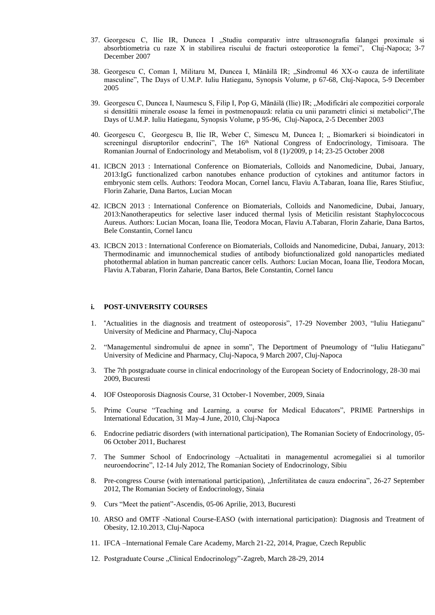- 37. Georgescu C, Ilie IR, Duncea I "Studiu comparativ intre ultrasonografia falangei proximale si absorbtiometria cu raze X in stabilirea riscului de fracturi osteoporotice la femei", Cluj-Napoca; 3-7 December 2007
- 38. Georgescu C, Coman I, Militaru M, Duncea I, Mănăilă IR; "Sindromul 46 XX-o cauza de infertilitate masculine", The Days of U.M.P. Iuliu Hatieganu, Synopsis Volume, p 67-68, Cluj-Napoca, 5-9 December 2005
- 39. Georgescu C, Duncea I, Naumescu S, Filip I, Pop G, Mănăilă (Ilie) IR; "Modificări ale compozitiei corporale si densitătii minerale osoase la femei in postmenopauză: relatia cu unii parametri clinici si metabolici",The Days of U.M.P. Iuliu Hatieganu, Synopsis Volume, p 95-96, Cluj-Napoca, 2-5 December 2003
- 40. Georgescu C, Georgescu B, Ilie IR, Weber C, Simescu M, Duncea I; "Biomarkeri si bioindicatori in screeningul disruptorilor endocrini", The 16<sup>th</sup> National Congress of Endocrinology, Timisoara. The Romanian Journal of Endocrinology and Metabolism, vol 8 (1)/2009, p 14; 23-25 October 2008
- 41. ICBCN 2013 : International Conference on Biomaterials, Colloids and Nanomedicine, Dubai, January, 2013:IgG functionalized carbon nanotubes enhance production of cytokines and antitumor factors in embryonic stem cells. Authors: Teodora Mocan, Cornel Iancu, Flaviu A.Tabaran, Ioana Ilie, Rares Stiufiuc, Florin Zaharie, Dana Bartos, Lucian Mocan
- 42. ICBCN 2013 : International Conference on Biomaterials, Colloids and Nanomedicine, Dubai, January, 2013:Nanotherapeutics for selective laser induced thermal lysis of Meticilin resistant Staphyloccocous Aureus. Authors: Lucian Mocan, Ioana Ilie, Teodora Mocan, Flaviu A.Tabaran, Florin Zaharie, Dana Bartos, Bele Constantin, Cornel Iancu
- 43. ICBCN 2013 : International Conference on Biomaterials, Colloids and Nanomedicine, Dubai, January, 2013: Thermodinamic and imunnochemical studies of antibody biofunctionalized gold nanoparticles mediated photothermal ablation in human pancreatic cancer cells. Authors: Lucian Mocan, Ioana Ilie, Teodora Mocan, Flaviu A.Tabaran, Florin Zaharie, Dana Bartos, Bele Constantin, Cornel Iancu

### **i. POST-UNIVERSITY COURSES**

- 1. "Actualities in the diagnosis and treatment of osteoporosis", 17-29 November 2003, "Iuliu Hatieganu" University of Medicine and Pharmacy, Cluj-Napoca
- 2. "Managementul sindromului de apnee in somn", The Deportment of Pneumology of "Iuliu Hatieganu" University of Medicine and Pharmacy, Cluj-Napoca, 9 March 2007, Cluj-Napoca
- 3. The 7th postgraduate course in clinical endocrinology of the European Society of Endocrinology, 28-30 mai 2009, Bucuresti
- 4. IOF Osteoporosis Diagnosis Course, 31 October-1 November, 2009, Sinaia
- 5. Prime Course "Teaching and Learning, a course for Medical Educators", PRIME Partnerships in International Education, 31 May-4 June, 2010, Cluj-Napoca
- 6. Endocrine pediatric disorders (with international participation), The Romanian Society of Endocrinology, 05- 06 October 2011, Bucharest
- 7. The Summer School of Endocrinology –Actualitati in managementul acromegaliei si al tumorilor neuroendocrine", 12-14 July 2012, The Romanian Society of Endocrinology, Sibiu
- 8. Pre-congress Course (with international participation), "Infertilitatea de cauza endocrina", 26-27 September 2012, The Romanian Society of Endocrinology, Sinaia
- 9. Curs "Meet the patient"-Ascendis, 05-06 Aprilie, 2013, Bucuresti
- 10. ARSO and OMTF -National Course-EASO (with international participation): Diagnosis and Treatment of Obesity, 12.10.2013, Cluj-Napoca
- 11. IFCA –International Female Care Academy, March 21-22, 2014, Prague, Czech Republic
- 12. Postgraduate Course "Clinical Endocrinology"-Zagreb, March 28-29, 2014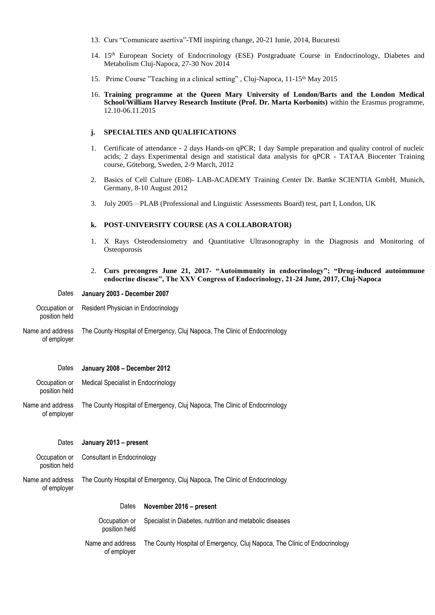- 13. Curs "Comunicare asertiva"-TMI inspiring change, 20-21 Iunie, 2014, Bucuresti
- 14. 15<sup>th</sup> European Society of Endocrinology (ESE) Postgraduate Course in Endocrinology, Diabetes and Metabolism Cluj-Napoca, 27-30 Nov 2014
- 15. Prime Course "Teaching in a clinical setting", Cluj-Napoca, 11-15<sup>th</sup> May 2015
- 16. **Training programme at the Queen Mary University of London/Barts and the London Medical School/William Harvey Research Institute (Prof. Dr. Marta Korbonits)** within the Erasmus programme, 12.10-06.11.2015

## **j. SPECIALTIES AND QUALIFICATIONS**

- 1. Certificate of attendance 2 days Hands-on qPCR; 1 day Sample preparation and quality control of nucleic acids; 2 days Experimental design and statistical data analysis for qPCR - TATAA Biocenter Training course, Göteborg, Sweden, 2-9 March, 2012
- 2. Basics of Cell Culture (E08)- LAB-ACADEMY Training Center Dr. Battke SCIENTIA GmbH, Munich, Germany, 8-10 August 2012
- 3. July 2005 PLAB (Professional and Linguistic Assessments Board) test, part I, London, UK

## **k. POST-UNIVERSITY COURSE (AS A COLLABORATOR)**

- 1. X Rays Osteodensiometry and Quantitative Ultrasonography in the Diagnosis and Monitoring of **Osteoporosis**
- 2. **Curs precongres June 21, 2017- "Autoimmunity in endocrinology"; "Drug-induced autoimmune endocrine disease", The XXV Congress of Endocrinology, 21-24 June, 2017, Cluj-Napoca**

#### Dates **January 2003 - December 2007**

- Occupation or position held Resident Physician in Endocrinology
- Name and address of employer The County Hospital of Emergency, Cluj Napoca, The Clinic of Endocrinology

#### Dates **January 2008 – December 2012**

- Occupation or Medical Specialist in Endocrinology
- Name and address of employer The County Hospital of Emergency, Cluj Napoca, The Clinic of Endocrinology

#### Dates **January 2013 – present**

| Occupation or | Consultant in Endocrinology |
|---------------|-----------------------------|
| position held |                             |

position held

Name and address of employer The County Hospital of Emergency, Cluj Napoca, The Clinic of Endocrinology

#### Dates **November 2016 – present**

Occupation or position held Specialist in Diabetes, nutrition and metabolic diseases

Name and address of employer The County Hospital of Emergency, Cluj Napoca, The Clinic of Endocrinology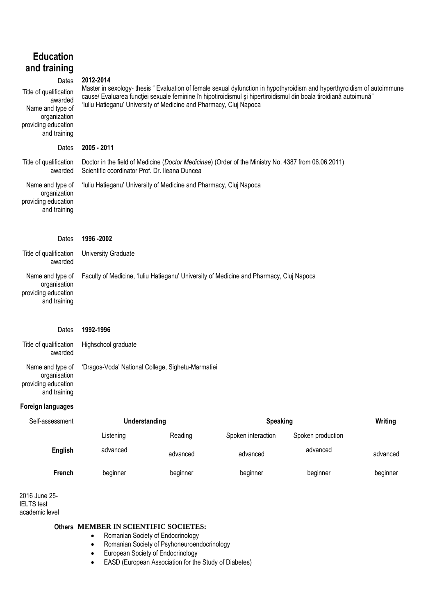| <b>Education</b><br>and training<br>Dates<br>Title of qualification<br>awarded<br>Name and type of<br>organization<br>providing education<br>and training | 2012-2014<br>'Iuliu Hatieganu' University of Medicine and Pharmacy, Cluj Napoca                                                                       |          | Master in sexology- thesis " Evaluation of female sexual dyfunction in hypothyroidism and hyperthyroidism of autoimmune<br>cause/ Evaluarea funcției sexuale feminine în hipotiroidismul și hipertiroidismul din boala tiroidiană autoimună" |                            |          |  |
|-----------------------------------------------------------------------------------------------------------------------------------------------------------|-------------------------------------------------------------------------------------------------------------------------------------------------------|----------|----------------------------------------------------------------------------------------------------------------------------------------------------------------------------------------------------------------------------------------------|----------------------------|----------|--|
| Dates                                                                                                                                                     | 2005 - 2011                                                                                                                                           |          |                                                                                                                                                                                                                                              |                            |          |  |
| Title of qualification<br>awarded                                                                                                                         | Doctor in the field of Medicine (Doctor Medicinae) (Order of the Ministry No. 4387 from 06.06.2011)<br>Scientific coordinator Prof. Dr. Ileana Duncea |          |                                                                                                                                                                                                                                              |                            |          |  |
| Name and type of<br>organization<br>providing education<br>and training                                                                                   | 'Iuliu Hatieganu' University of Medicine and Pharmacy, Cluj Napoca                                                                                    |          |                                                                                                                                                                                                                                              |                            |          |  |
| Dates                                                                                                                                                     | 1996 - 2002                                                                                                                                           |          |                                                                                                                                                                                                                                              |                            |          |  |
| Title of qualification<br>awarded                                                                                                                         | University Graduate                                                                                                                                   |          |                                                                                                                                                                                                                                              |                            |          |  |
| Name and type of<br>organisation<br>providing education<br>and training                                                                                   | Faculty of Medicine, 'Iuliu Hatieganu' University of Medicine and Pharmacy, Cluj Napoca                                                               |          |                                                                                                                                                                                                                                              |                            |          |  |
| Dates                                                                                                                                                     | 1992-1996                                                                                                                                             |          |                                                                                                                                                                                                                                              |                            |          |  |
| Title of qualification<br>awarded                                                                                                                         | Highschool graduate                                                                                                                                   |          |                                                                                                                                                                                                                                              |                            |          |  |
| Name and type of<br>organisation<br>providing education<br>and training                                                                                   | 'Dragos-Voda' National College, Sighetu-Marmatiei                                                                                                     |          |                                                                                                                                                                                                                                              |                            |          |  |
| <b>Foreign languages</b>                                                                                                                                  |                                                                                                                                                       |          |                                                                                                                                                                                                                                              |                            |          |  |
| Self-assessment                                                                                                                                           | <b>Understanding</b>                                                                                                                                  |          |                                                                                                                                                                                                                                              | <b>Speaking</b><br>Writing |          |  |
|                                                                                                                                                           | Listening                                                                                                                                             | Reading  | Spoken interaction                                                                                                                                                                                                                           | Spoken production          |          |  |
| <b>English</b>                                                                                                                                            | advanced                                                                                                                                              | advanced | advanced                                                                                                                                                                                                                                     | advanced                   | advanced |  |
| French                                                                                                                                                    | beginner                                                                                                                                              | beginner | beginner                                                                                                                                                                                                                                     | beginner                   | beginner |  |
| 2016 June 25-                                                                                                                                             |                                                                                                                                                       |          |                                                                                                                                                                                                                                              |                            |          |  |

IELTS test academic level

## **Others MEMBER IN SCIENTIFIC SOCIETES:**

- Romanian Society of Endocrinology
- Romanian Society of Psyhoneuroendocrinology
- European Society of Endocrinology
- EASD (European Association for the Study of Diabetes)